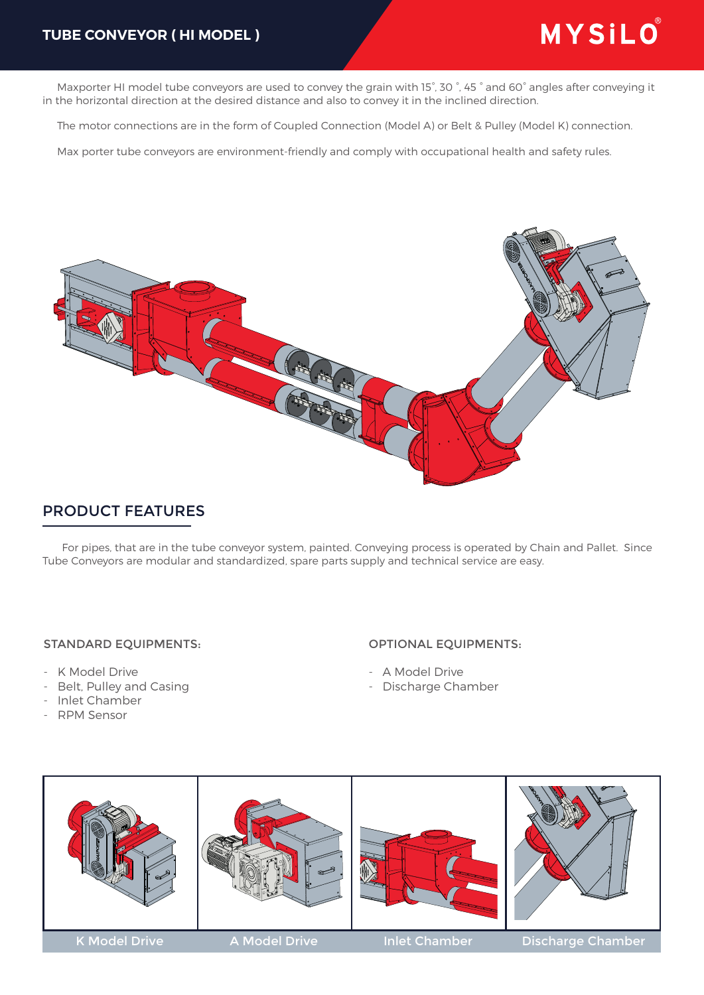### **TUBE CONVEYOR ( HI MODEL )**

# MYSILO®

 Maxporter HI model tube conveyors are used to convey the grain with 15°, 30 °, 45 ° and 60° angles after conveying it in the horizontal direction at the desired distance and also to convey it in the inclined direction.

The motor connections are in the form of Coupled Connection (Model A) or Belt & Pulley (Model K) connection.

Max porter tube conveyors are environment-friendly and comply with occupational health and safety rules.



## PRODUCT FEATURES

 For pipes, that are in the tube conveyor system, painted. Conveying process is operated by Chain and Pallet. Since Tube Conveyors are modular and standardized, spare parts supply and technical service are easy.

#### STANDARD EQUIPMENTS:

- K Model Drive
- Belt, Pulley and Casing
- Inlet Chamber
- RPM Sensor

#### OPTIONAL EQUIPMENTS:

- A Model Drive
- Discharge Chamber